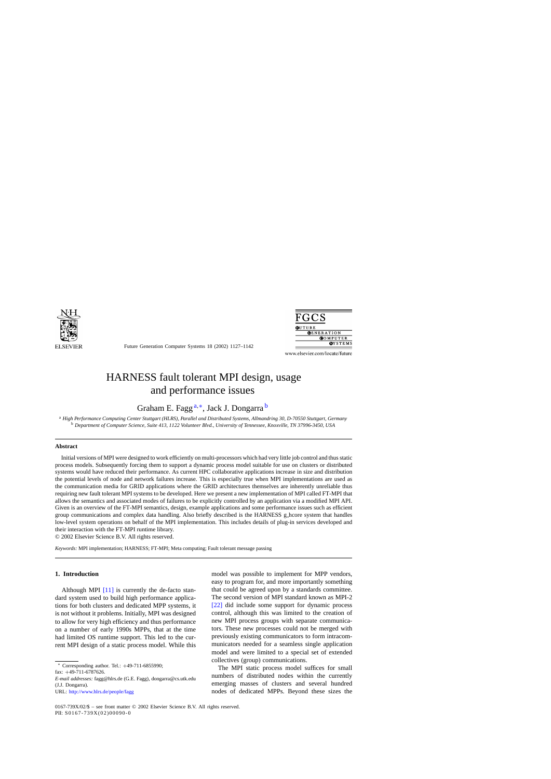

Future Generation Computer Systems 18 (2002) 1127–1142



www.elsevier.com/locate/future

# HARNESS fault tolerant MPI design, usage and performance issues

Graham E. Fagg <sup>a</sup>,∗, Jack J. Dongarra <sup>b</sup>

<sup>a</sup> *High Performance Computing Center Stuttgart (HLRS), Parallel and Distributed Systems, Allmandring 30, D-70550 Stuttgart, Germany* <sup>b</sup> *Department of Computer Science, Suite 413, 1122 Volunteer Blvd., University of Tennessee, Knoxville, TN 37996-3450, USA*

## **Abstract**

Initial versions of MPI were designed to work efficiently on multi-processors which had very little job control and thus static process models. Subsequently forcing them to support a dynamic process model suitable for use on clusters or distributed systems would have reduced their performance. As current HPC collaborative applications increase in size and distribution the potential levels of node and network failures increase. This is especially true when MPI implementations are used as the communication media for GRID applications where the GRID architectures themselves are inherently unreliable thus requiring new fault tolerant MPI systems to be developed. Here we present a new implementation of MPI called FT-MPI that allows the semantics and associated modes of failures to be explicitly controlled by an application via a modified MPI API. Given is an overview of the FT-MPI semantics, design, example applications and some performance issues such as efficient group communications and complex data handling. Also briefly described is the HARNESS g hcore system that handles low-level system operations on behalf of the MPI implementation. This includes details of plug-in services developed and their interaction with the FT-MPI runtime library.

© 2002 Elsevier Science B.V. All rights reserved.

*Keywords:* MPI implementation; HARNESS; FT-MPI; Meta computing; Fault tolerant message passing

# **1. Introduction**

Although MPI  $[11]$  is currently the de-facto standard system used to build high performance applications for both clusters and dedicated MPP systems, it is not without it problems. Initially, MPI was designed to allow for very high efficiency and thus performance on a number of early 1990s MPPs, that at the time had limited OS runtime support. This led to the current MPI design of a static process model. While this model was possible to implement for MPP vendors, easy to program for, and more importantly something that could be agreed upon by a standards committee. The second version of MPI standard known as MPI-2 [\[22\]](#page-14-0) did include some support for dynamic process control, although this was limited to the creation of new MPI process groups with separate communicators. These new processes could not be merged with previously existing communicators to form intracommunicators needed for a seamless single application model and were limited to a special set of extended collectives (group) communications.

The MPI static process model suffices for small numbers of distributed nodes within the currently emerging masses of clusters and several hundred nodes of dedicated MPPs. Beyond these sizes the

<sup>∗</sup> Corresponding author. Tel.: +49-711-6855990;

fax: +49-711-6787626.

*E-mail addresses:* fagg@hlrs.de (G.E. Fagg), dongarra@cs.utk.edu (J.J. Dongarra).

URL: <http://www.hlrs.de/people/fagg>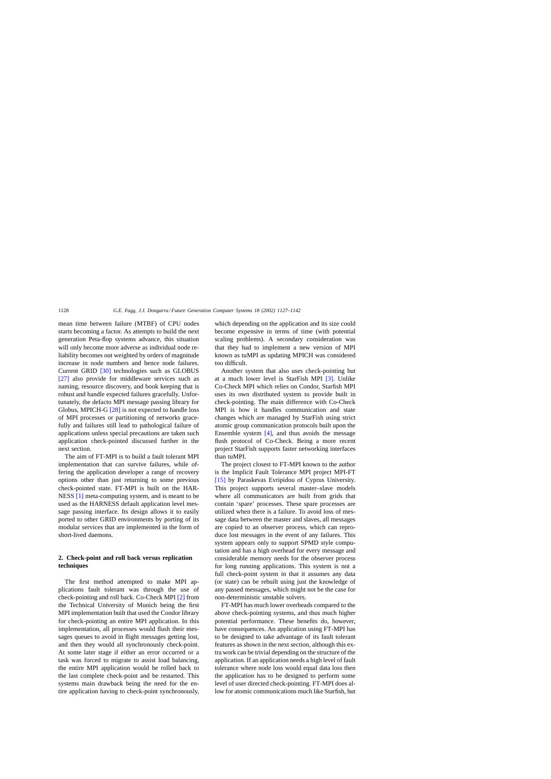mean time between failure (MTBF) of CPU nodes starts becoming a factor. As attempts to build the next generation Peta-flop systems advance, this situation will only become more adverse as individual node reliability becomes out weighted by orders of magnitude increase in node numbers and hence node failures. Current GRID [\[30\]](#page-14-0) technologies such as GLOBUS [\[27\]](#page-14-0) also provide for middleware services such as naming, resource discovery, and book keeping that is robust and handle expected failures gracefully. Unfortunately, the defacto MPI message passing library for Globus, MPICH-G [\[28\]](#page-14-0) is not expected to handle loss of MPI processes or partitioning of networks gracefully and failures still lead to pathological failure of applications unless special precautions are taken such application check-pointed discussed further in the next section.

The aim of FT-MPI is to build a fault tolerant MPI implementation that can survive failures, while offering the application developer a range of recovery options other than just returning to some previous check-pointed state. FT-MPI is built on the HAR-NESS [\[1\]](#page-13-0) meta-computing system, and is meant to be used as the HARNESS default application level message passing interface. Its design allows it to easily ported to other GRID environments by porting of its modular services that are implemented in the form of short-lived daemons.

# **2. Check-point and roll back versus replication techniques**

The first method attempted to make MPI applications fault tolerant was through the use of check-pointing and roll back. Co-Check MPI [\[2\]](#page-14-0) from the Technical University of Munich being the first MPI implementation built that used the Condor library for check-pointing an entire MPI application. In this implementation, all processes would flush their messages queues to avoid in flight messages getting lost, and then they would all synchronously check-point. At some later stage if either an error occurred or a task was forced to migrate to assist load balancing, the entire MPI application would be rolled back to the last complete check-point and be restarted. This systems main drawback being the need for the entire application having to check-point synchronously, which depending on the application and its size could become expensive in terms of time (with potential scaling problems). A secondary consideration was that they had to implement a new version of MPI known as tuMPI as updating MPICH was considered too difficult.

Another system that also uses check-pointing but at a much lower level is StarFish MPI [\[3\].](#page-14-0) Unlike Co-Check MPI which relies on Condor, Starfish MPI uses its own distributed system to provide built in check-pointing. The main difference with Co-Check MPI is how it handles communication and state changes which are managed by StarFish using strict atomic group communication protocols built upon the Ensemble system  $[4]$ , and thus avoids the message flush protocol of Co-Check. Being a more recent project StarFish supports faster networking interfaces than tuMPI.

The project closest to FT-MPI known to the author is the Implicit Fault Tolerance MPI project MPI-FT [\[15\]](#page-14-0) by Paraskevas Evripidou of Cyprus University. This project supports several master–slave models where all communicators are built from grids that contain 'spare' processes. These spare processes are utilized when there is a failure. To avoid loss of message data between the master and slaves, all messages are copied to an observer process, which can reproduce lost messages in the event of any failures. This system appears only to support SPMD style computation and has a high overhead for every message and considerable memory needs for the observer process for long running applications. This system is not a full check-point system in that it assumes any data (or state) can be rebuilt using just the knowledge of any passed messages, which might not be the case for non-deterministic unstable solvers.

FT-MPI has much lower overheads compared to the above check-pointing systems, and thus much higher potential performance. These benefits do, however, have consequences. An application using FT-MPI has to be designed to take advantage of its fault tolerant features as shown in the next section, although this extra work can be trivial depending on the structure of the application. If an application needs a high level of fault tolerance where node loss would equal data loss then the application has to be designed to perform some level of user directed check-pointing. FT-MPI does allow for atomic communications much like Starfish, but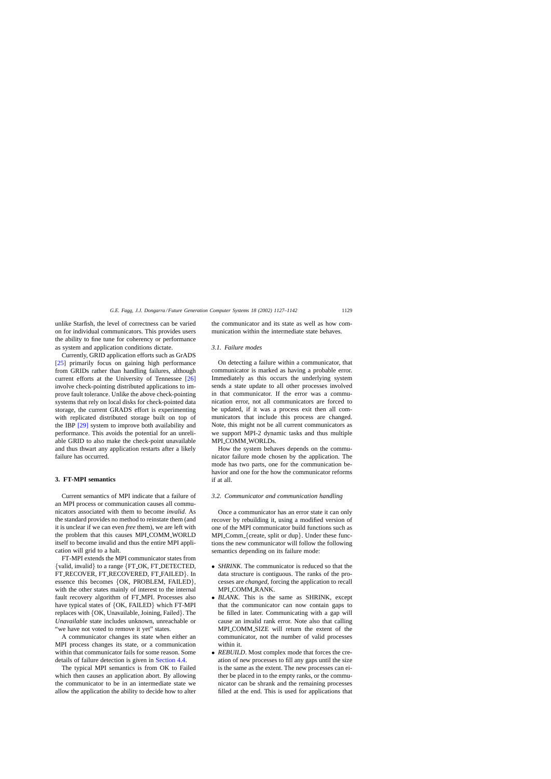unlike Starfish, the level of correctness can be varied on for individual communicators. This provides users the ability to fine tune for coherency or performance as system and application conditions dictate.

Currently, GRID application efforts such as GrADS [\[25\]](#page-14-0) primarily focus on gaining high performance from GRIDs rather than handling failures, although current efforts at the University of Tennessee [\[26\]](#page-14-0) involve check-pointing distributed applications to improve fault tolerance. Unlike the above check-pointing systems that rely on local disks for check-pointed data storage, the current GRADS effort is experimenting with replicated distributed storage built on top of the IBP [\[29\]](#page-14-0) system to improve both availability and performance. This avoids the potential for an unreliable GRID to also make the check-point unavailable and thus thwart any application restarts after a likely failure has occurred.

## **3. FT-MPI semantics**

Current semantics of MPI indicate that a failure of an MPI process or communication causes all communicators associated with them to become *invalid*. As the standard provides no method to reinstate them (and it is unclear if we can even *free* them), we are left with the problem that this causes MPI\_COMM\_WORLD itself to become invalid and thus the entire MPI application will grid to a halt.

FT-MPI extends the MPI communicator states from {valid, invalid} to a range {FT OK, FT DETECTED, FT RECOVER, FT RECOVERED, FT FAILED}. In essence this becomes {OK, PROBLEM, FAILED}, with the other states mainly of interest to the internal fault recovery algorithm of FT MPI. Processes also have typical states of {OK, FAILED} which FT-MPI replaces with {OK, Unavailable, Joining, Failed}. The *Unavailable* state includes unknown, unreachable or "we have not voted to remove it yet" states.

A communicator changes its state when either an MPI process changes its state, or a communication within that communicator fails for some reason. Some details of failure detection is given in [Section 4.4.](#page-9-0)

The typical MPI semantics is from OK to Failed which then causes an application abort. By allowing the communicator to be in an intermediate state we allow the application the ability to decide how to alter the communicator and its state as well as how communication within the intermediate state behaves.

# *3.1. Failure modes*

On detecting a failure within a communicator, that communicator is marked as having a probable error. Immediately as this occurs the underlying system sends a state update to all other processes involved in that communicator. If the error was a communication error, not all communicators are forced to be updated, if it was a process exit then all communicators that include this process are changed. Note, this might not be all current communicators as we support MPI-2 dynamic tasks and thus multiple MPI COMM WORLDs.

How the system behaves depends on the communicator failure mode chosen by the application. The mode has two parts, one for the communication behavior and one for the how the communicator reforms if at all.

#### *3.2. Communicator and communication handling*

Once a communicator has an error state it can only recover by rebuilding it, using a modified version of one of the MPI communicator build functions such as MPI\_Comm\_{create, split or dup}. Under these functions the new communicator will follow the following semantics depending on its failure mode:

- *SHRINK*. The communicator is reduced so that the data structure is contiguous. The ranks of the processes are *changed*, forcing the application to recall MPLCOMM\_RANK.
- *BLANK*. This is the same as SHRINK, except that the communicator can now contain gaps to be filled in later. Communicating with a gap will cause an invalid rank error. Note also that calling MPI COMM SIZE will return the extent of the communicator, not the number of valid processes within it.
- *REBUILD*. Most complex mode that forces the creation of new processes to fill any gaps until the size is the same as the extent. The new processes can either be placed in to the empty ranks, or the communicator can be shrank and the remaining processes filled at the end. This is used for applications that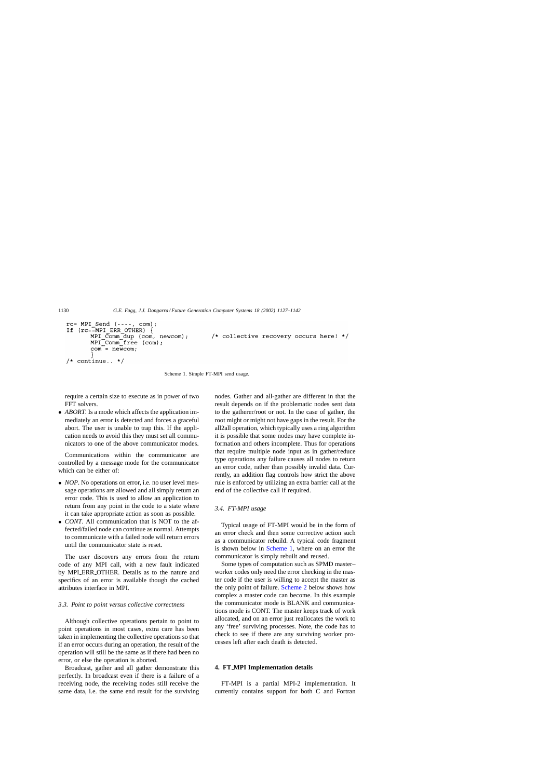```
rc = MPI Send (----, com);If (rc=MPI ERR OTHER) {
      MPI_Comm_dup (com, newcom);
                                         /* collective recovery occurs here! */
      MPI Comm free (com);
      com = newcom:
/* continue.. */
```
Scheme 1. Simple FT-MPI send usage.

require a certain size to execute as in power of two FFT solvers.

• *ABORT*. Is a mode which affects the application immediately an error is detected and forces a graceful abort. The user is unable to trap this. If the application needs to avoid this they must set all communicators to one of the above communicator modes.

Communications within the communicator are controlled by a message mode for the communicator which can be either of:

- *NOP*. No operations on error, i.e. no user level message operations are allowed and all simply return an error code. This is used to allow an application to return from any point in the code to a state where it can take appropriate action as soon as possible.
- *CONT*. All communication that is NOT to the affected/failed node can continue as normal. Attempts to communicate with a failed node will return errors until the communicator state is reset.

The user discovers any errors from the return code of any MPI call, with a new fault indicated by MPI\_ERR\_OTHER. Details as to the nature and specifics of an error is available though the cached attributes interface in MPI.

#### *3.3. Point to point versus collective correctness*

Although collective operations pertain to point to point operations in most cases, extra care has been taken in implementing the collective operations so that if an error occurs during an operation, the result of the operation will still be the same as if there had been no error, or else the operation is aborted.

Broadcast, gather and all gather demonstrate this perfectly. In broadcast even if there is a failure of a receiving node, the receiving nodes still receive the same data, i.e. the same end result for the surviving

nodes. Gather and all-gather are different in that the result depends on if the problematic nodes sent data to the gatherer/root or not. In the case of gather, the root might or might not have gaps in the result. For the all2all operation, which typically uses a ring algorithm it is possible that some nodes may have complete information and others incomplete. Thus for operations that require multiple node input as in gather/reduce type operations any failure causes all nodes to return an error code, rather than possibly invalid data. Currently, an addition flag controls how strict the above rule is enforced by utilizing an extra barrier call at the end of the collective call if required.

# *3.4. FT-MPI usage*

Typical usage of FT-MPI would be in the form of an error check and then some corrective action such as a communicator rebuild. A typical code fragment is shown below in Scheme 1, where on an error the communicator is simply rebuilt and reused.

Some types of computation such as SPMD master– worker codes only need the error checking in the master code if the user is willing to accept the master as the only point of failure. [Scheme 2](#page-4-0) below shows how complex a master code can become. In this example the communicator mode is BLANK and communications mode is CONT. The master keeps track of work allocated, and on an error just reallocates the work to any 'free' surviving processes. Note, the code has to check to see if there are any surviving worker processes left after each death is detected.

#### **4. FT MPI Implementation details**

FT-MPI is a partial MPI-2 implementation. It currently contains support for both C and Fortran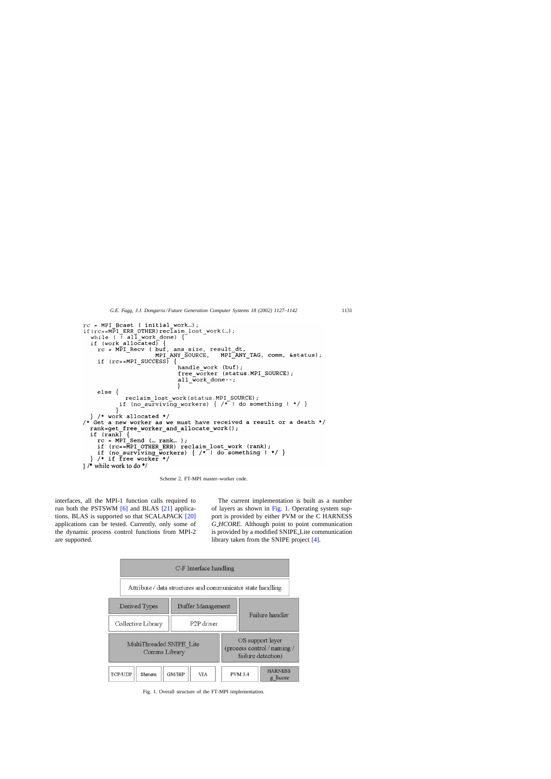```
rc = MPI Bcast (initial work...);
if (rc==MPI ERR OTHER) reclaim lost_work(...);<br>while ( ! all_work_done) {
  if (work allocated) {
    rc = M\overline{P}I Recv ( but, ans size, result dt,
                                            MPI<sup>-</sup>ANY TAG, comm, &status);
                       MPI ANY SOURCE,
    if (rc == MPI SUCCESS) {
                              handle work (buf);
                              free worker (status.MPI SOURCE);
                              all work done--;
    elsereclaim_lost_work(status.MPI_SOURCE);
           if (no_surviving_workers) { \pi ! do something ! */ }
          \mathcal{E}\} /* work allocated */
/* Get a new worker as we must have received a result or a death */
  rank=get_free_worker_and_allocate_work();
  if (rank): (rank) {<br>rc = MPI_Send (… rank… );
    if (rc==MPI OTHER ERR) reclaim lost work (rank);
    if (no_surviving_workers) { /* do something ! */ }
  \} /* if Free worker */
\frac{1}{2} /* while work to do */
```
Scheme 2. FT-MPI master–worker code.

interfaces, all the MPI-1 function calls required to run both the PSTSWM [\[6\]](#page-14-0) and BLAS [\[21\]](#page-14-0) applications. BLAS is supported so that SCALAPACK [\[20\]](#page-14-0) applications can be tested. Currently, only some of the dynamic process control functions from MPI-2 are supported.

The current implementation is built as a number of layers as shown in Fig. 1. Operating system support is provided by either PVM or the C HARNESS *G HCORE*. Although point to point communication is provided by a modified SNIPE Lite communication library taken from the SNIPE project [\[4\].](#page-14-0)



Fig. 1. Overall structure of the FT-MPI implementation.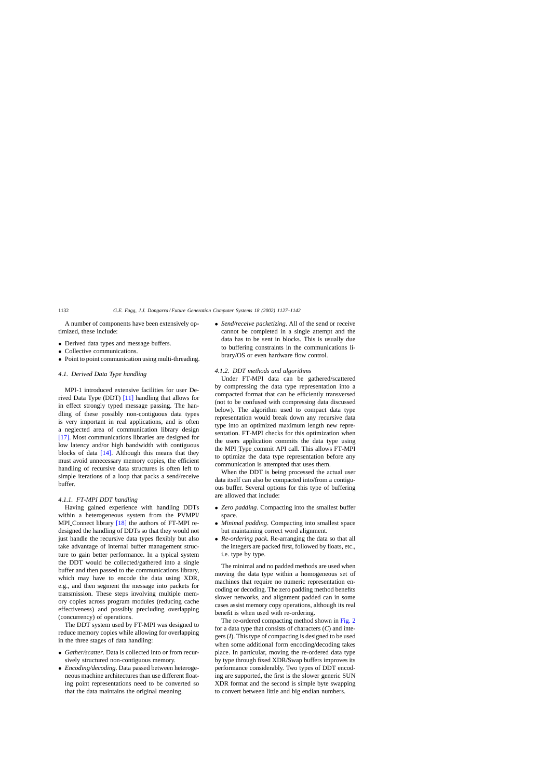A number of components have been extensively optimized, these include:

- Derived data types and message buffers.
- Collective communications.
- Point to point communication using multi-threading.

## *4.1. Derived Data Type handling*

MPI-1 introduced extensive facilities for user Derived Data Type (DDT) [\[11\]](#page-14-0) handling that allows for in effect strongly typed message passing. The handling of these possibly non-contiguous data types is very important in real applications, and is often a neglected area of communication library design [\[17\].](#page-14-0) Most communications libraries are designed for low latency and/or high bandwidth with contiguous blocks of data [\[14\].](#page-14-0) Although this means that they must avoid unnecessary memory copies, the efficient handling of recursive data structures is often left to simple iterations of a loop that packs a send/receive buffer.

#### *4.1.1. FT-MPI DDT handling*

Having gained experience with handling DDTs within a heterogeneous system from the PVMPI/ MPI Connect library  $[18]$  the authors of FT-MPI redesigned the handling of DDTs so that they would not just handle the recursive data types flexibly but also take advantage of internal buffer management structure to gain better performance. In a typical system the DDT would be collected/gathered into a single buffer and then passed to the communications library, which may have to encode the data using XDR, e.g., and then segment the message into packets for transmission. These steps involving multiple memory copies across program modules (reducing cache effectiveness) and possibly precluding overlapping (concurrency) of operations.

The DDT system used by FT-MPI was designed to reduce memory copies while allowing for overlapping in the three stages of data handling:

- *Gather/scatter*. Data is collected into or from recursively structured non-contiguous memory.
- *Encoding/decoding*. Data passed between heterogeneous machine architectures than use different floating point representations need to be converted so that the data maintains the original meaning.

• *Send/receive packetizing*. All of the send or receive cannot be completed in a single attempt and the data has to be sent in blocks. This is usually due to buffering constraints in the communications library/OS or even hardware flow control.

## *4.1.2. DDT methods and algorithms*

Under FT-MPI data can be gathered/scattered by compressing the data type representation into a compacted format that can be efficiently transversed (not to be confused with compressing data discussed below). The algorithm used to compact data type representation would break down any recursive data type into an optimized maximum length new representation. FT-MPI checks for this optimization when the users application commits the data type using the MPI\_Type\_commit API call. This allows FT-MPI to optimize the data type representation before any communication is attempted that uses them.

When the DDT is being processed the actual user data itself can also be compacted into/from a contiguous buffer. Several options for this type of buffering are allowed that include:

- *Zero padding*. Compacting into the smallest buffer space.
- *Minimal padding*. Compacting into smallest space but maintaining correct word alignment.
- *Re-ordering pack*. Re-arranging the data so that all the integers are packed first, followed by floats, etc., i.e. type by type.

The minimal and no padded methods are used when moving the data type within a homogeneous set of machines that require no numeric representation encoding or decoding. The zero padding method benefits slower networks, and alignment padded can in some cases assist memory copy operations, although its real benefit is when used with re-ordering.

The re-ordered compacting method shown in [Fig. 2](#page-6-0) for a data type that consists of characters (*C*) and integers (*I*). This type of compacting is designed to be used when some additional form encoding/decoding takes place. In particular, moving the re-ordered data type by type through fixed XDR/Swap buffers improves its performance considerably. Two types of DDT encoding are supported, the first is the slower generic SUN XDR format and the second is simple byte swapping to convert between little and big endian numbers.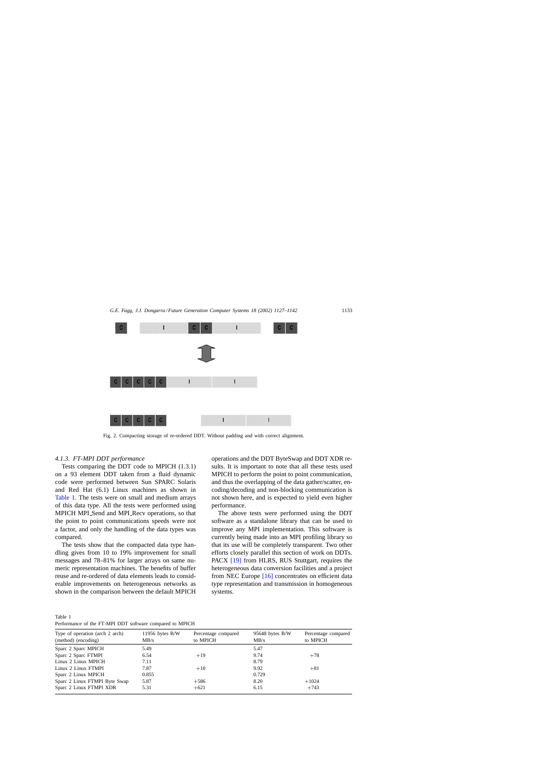<span id="page-6-0"></span>

Fig. 2. Compacting storage of re-ordered DDT. Without padding and with correct alignment.

#### *4.1.3. FT-MPI DDT performance*

Tests comparing the DDT code to MPICH (1.3.1) on a 93 element DDT taken from a fluid dynamic code were performed between Sun SPARC Solaris and Red Hat (6.1) Linux machines as shown in Table 1. The tests were on small and medium arrays of this data type. All the tests were performed using MPICH MPI\_Send and MPI\_Recv operations, so that the point to point communications speeds were not a factor, and only the handling of the data types was compared.

The tests show that the compacted data type handling gives from 10 to 19% improvement for small messages and 78–81% for larger arrays on same numeric representation machines. The benefits of buffer reuse and re-ordered of data elements leads to considerable improvements on heterogeneous networks as shown in the comparison between the default MPICH operations and the DDT ByteSwap and DDT XDR results. It is important to note that all these tests used MPICH to perform the point to point communication, and thus the overlapping of the data gather/scatter, encoding/decoding and non-blocking communication is not shown here, and is expected to yield even higher performance.

The above tests were performed using the DDT software as a standalone library that can be used to improve any MPI implementation. This software is currently being made into an MPI profiling library so that its use will be completely transparent. Two other efforts closely parallel this section of work on DDTs. PACX [\[19\]](#page-14-0) from HLRS, RUS Stuttgart, requires the heterogeneous data conversion facilities and a project from NEC Europe [\[16\]](#page-14-0) concentrates on efficient data type representation and transmission in homogeneous systems.

Table 1 Performance of the FT-MPI DDT software compared to MPICH

| Type of operation (arch 2 arch)<br>(method) (encoding) | 11956 bytes $B/W$<br>MB/s | Percentage compared<br>to MPICH | $95648$ bytes B/W<br>MB/s | Percentage compared<br>to MPICH |
|--------------------------------------------------------|---------------------------|---------------------------------|---------------------------|---------------------------------|
| Sparc 2 Sparc MPICH                                    | 5.49                      |                                 | 5.47                      |                                 |
| Sparc 2 Sparc FTMPI                                    | 6.54                      | $+19$                           | 9.74                      | $+78$                           |
| Linux 2 Linux MPICH                                    | 7.11                      |                                 | 8.79                      |                                 |
| Linux 2 Linux FTMPI                                    | 7.87                      | $+10$                           | 9.92                      | $+81$                           |
| Sparc 2 Linux MPICH                                    | 0.855                     |                                 | 0.729                     |                                 |
| Sparc 2 Linux FTMPI Byte Swap                          | 5.87                      | $+586$                          | 8.20                      | $+1024$                         |
| Sparc 2 Linux FTMPI XDR                                | 5.31                      | $+621$                          | 6.15                      | $+743$                          |
|                                                        |                           |                                 |                           |                                 |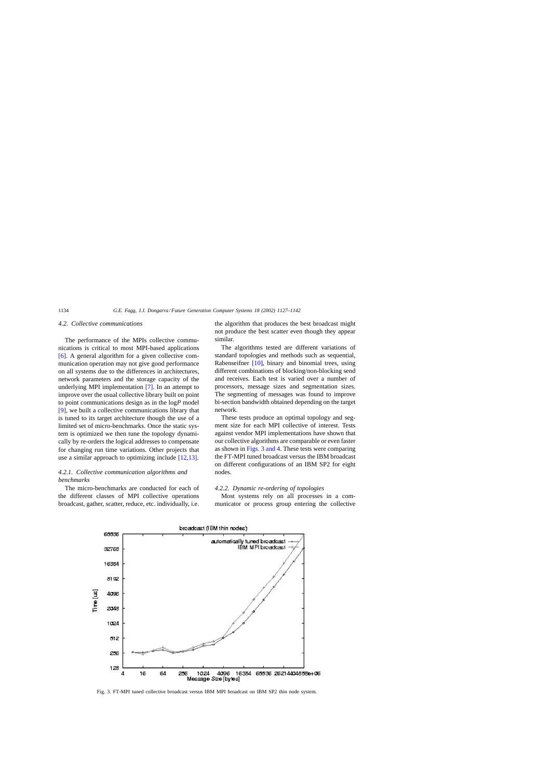#### *4.2. Collective communications*

The performance of the MPIs collective communications is critical to most MPI-based applications [\[6\].](#page-14-0) A general algorithm for a given collective communication operation may not give good performance on all systems due to the differences in architectures, network parameters and the storage capacity of the underlying MPI implementation [\[7\].](#page-14-0) In an attempt to improve over the usual collective library built on point to point communications design as in the log*P* model [\[9\],](#page-14-0) we built a collective communications library that is tuned to its target architecture though the use of a limited set of micro-benchmarks. Once the static system is optimized we then tune the topology dynamically by re-orders the logical addresses to compensate for changing run time variations. Other projects that use a similar approach to optimizing include [\[12,13\].](#page-14-0)

# *4.2.1. Collective communication algorithms and benchmarks*

The micro-benchmarks are conducted for each of the different classes of MPI collective operations broadcast, gather, scatter, reduce, etc. individually, i.e. the algorithm that produces the best broadcast might not produce the best scatter even though they appear similar.

The algorithms tested are different variations of standard topologies and methods such as sequential, Rabenseifner [\[10\],](#page-14-0) binary and binomial trees, using different combinations of blocking/non-blocking send and receives. Each test is varied over a number of processors, message sizes and segmentation sizes. The segmenting of messages was found to improve bi-section bandwidth obtained depending on the target network.

These tests produce an optimal topology and segment size for each MPI collective of interest. Tests against vendor MPI implementations have shown that our collective algorithms are comparable or even faster as shown in Figs. 3 and 4. These tests were comparing the FT-MPI tuned broadcast versus the IBM broadcast on different configurations of an IBM SP2 for eight nodes.

# *4.2.2. Dynamic re-ordering of topologies*

Most systems rely on all processes in a communicator or process group entering the collective



Fig. 3. FT-MPI tuned collective broadcast versus IBM MPI broadcast on IBM SP2 thin node system.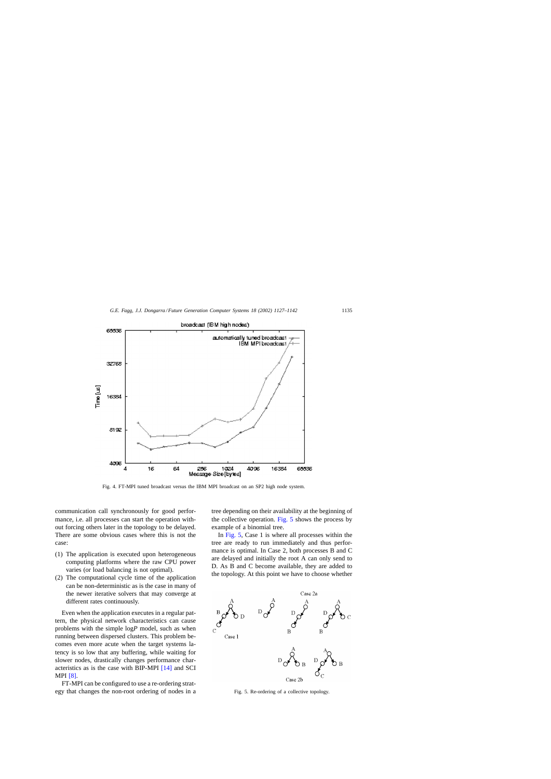

Fig. 4. FT-MPI tuned broadcast versus the IBM MPI broadcast on an SP2 high node system.

communication call synchronously for good performance, i.e. all processes can start the operation without forcing others later in the topology to be delayed. There are some obvious cases where this is not the case:

- (1) The application is executed upon heterogeneous computing platforms where the raw CPU power varies (or load balancing is not optimal).
- (2) The computational cycle time of the application can be non-deterministic as is the case in many of the newer iterative solvers that may converge at different rates continuously.

Even when the application executes in a regular pattern, the physical network characteristics can cause problems with the simple log*P* model, such as when running between dispersed clusters. This problem becomes even more acute when the target systems latency is so low that any buffering, while waiting for slower nodes, drastically changes performance characteristics as is the case with BIP-MPI [\[14\]](#page-14-0) and SCI MPI [\[8\].](#page-14-0)

FT-MPI can be configured to use a re-ordering strategy that changes the non-root ordering of nodes in a tree depending on their availability at the beginning of the collective operation. Fig. 5 shows the process by example of a binomial tree.

In Fig. 5, Case 1 is where all processes within the tree are ready to run immediately and thus performance is optimal. In Case 2, both processes B and C are delayed and initially the root A can only send to D. As B and C become available, they are added to the topology. At this point we have to choose whether



Fig. 5. Re-ordering of a collective topology.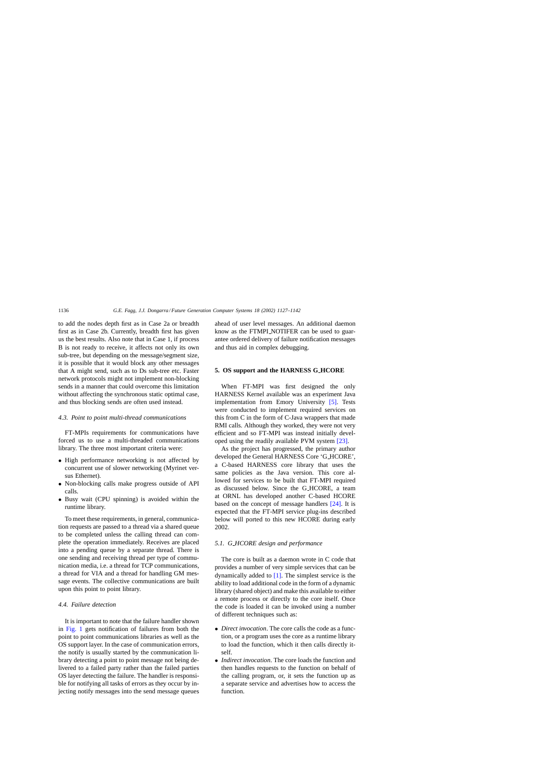<span id="page-9-0"></span>to add the nodes depth first as in Case 2a or breadth first as in Case 2b. Currently, breadth first has given us the best results. Also note that in Case 1, if process B is not ready to receive, it affects not only its own sub-tree, but depending on the message/segment size, it is possible that it would block any other messages that A might send, such as to Ds sub-tree etc. Faster network protocols might not implement non-blocking sends in a manner that could overcome this limitation without affecting the synchronous static optimal case, and thus blocking sends are often used instead.

#### *4.3. Point to point multi-thread communications*

FT-MPIs requirements for communications have forced us to use a multi-threaded communications library. The three most important criteria were:

- High performance networking is not affected by concurrent use of slower networking (Myrinet versus Ethernet).
- Non-blocking calls make progress outside of API calls.
- Busy wait (CPU spinning) is avoided within the runtime library.

To meet these requirements, in general, communication requests are passed to a thread via a shared queue to be completed unless the calling thread can complete the operation immediately. Receives are placed into a pending queue by a separate thread. There is one sending and receiving thread per type of communication media, i.e. a thread for TCP communications, a thread for VIA and a thread for handling GM message events. The collective communications are built upon this point to point library.

# *4.4. Failure detection*

It is important to note that the failure handler shown in [Fig. 1](#page-4-0) gets notification of failures from both the point to point communications libraries as well as the OS support layer. In the case of communication errors, the notify is usually started by the communication library detecting a point to point message not being delivered to a failed party rather than the failed parties OS layer detecting the failure. The handler is responsible for notifying all tasks of errors as they occur by injecting notify messages into the send message queues ahead of user level messages. An additional daemon know as the FTMPI\_NOTIFER can be used to guarantee ordered delivery of failure notification messages and thus aid in complex debugging.

## **5. OS support and the HARNESS G HCORE**

When FT-MPI was first designed the only HARNESS Kernel available was an experiment Java implementation from Emory University [\[5\].](#page-14-0) Tests were conducted to implement required services on this from C in the form of C-Java wrappers that made RMI calls. Although they worked, they were not very efficient and so FT-MPI was instead initially developed using the readily available PVM system [\[23\].](#page-14-0)

As the project has progressed, the primary author developed the General HARNESS Core 'G HCORE', a C-based HARNESS core library that uses the same policies as the Java version. This core allowed for services to be built that FT-MPI required as discussed below. Since the G HCORE, a team at ORNL has developed another C-based HCORE based on the concept of message handlers [\[24\].](#page-14-0) It is expected that the FT-MPI service plug-ins described below will ported to this new HCORE during early 2002.

#### *5.1. G HCORE design and performance*

The core is built as a daemon wrote in C code that provides a number of very simple services that can be dynamically added to [\[1\].](#page-13-0) The simplest service is the ability to load additional code in the form of a dynamic library (shared object) and make this available to either a remote process or directly to the core itself. Once the code is loaded it can be invoked using a number of different techniques such as:

- *Direct invocation*. The core calls the code as a function, or a program uses the core as a runtime library to load the function, which it then calls directly itself.
- *Indirect invocation*. The core loads the function and then handles requests to the function on behalf of the calling program, or, it sets the function up as a separate service and advertises how to access the function.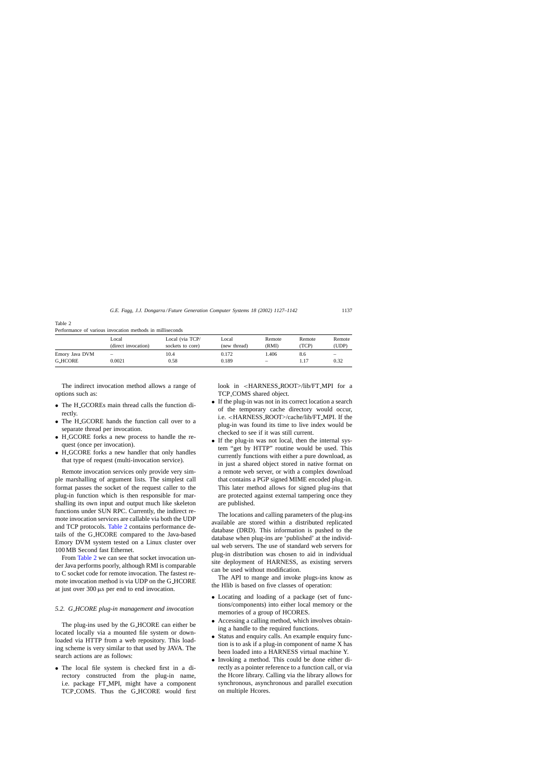|                | Local<br>(direct invocation) | Local (via TCP/<br>sockets to core) | Local<br>(new thread) | Remote<br>(RMI) | Remote<br>TCP) | Remote<br>(UDP)                 |
|----------------|------------------------------|-------------------------------------|-----------------------|-----------------|----------------|---------------------------------|
| Emory Java DVM | $\overline{\phantom{0}}$     | 10.4                                | 0.172                 | l.406           | 8.6            | $\hspace{0.1mm}-\hspace{0.1mm}$ |
| <b>G_HCORE</b> | 0.0021                       | 0.58                                | 0.189                 |                 | 1.17           | 0.32                            |

Table 2 Performance of various invocation methods in milliseconds

The indirect invocation method allows a range of options such as:

- The H\_GCOREs main thread calls the function directly.
- The H\_GCORE hands the function call over to a separate thread per invocation.
- H GCORE forks a new process to handle the request (once per invocation).
- H GCORE forks a new handler that only handles that type of request (multi-invocation service).

Remote invocation services only provide very simple marshalling of argument lists. The simplest call format passes the socket of the request caller to the plug-in function which is then responsible for marshalling its own input and output much like skeleton functions under SUN RPC. Currently, the indirect remote invocation services are callable via both the UDP and TCP protocols. Table 2 contains performance details of the G HCORE compared to the Java-based Emory DVM system tested on a Linux cluster over 100 MB Second fast Ethernet.

From Table 2 we can see that socket invocation under Java performs poorly, although RMI is comparable to C socket code for remote invocation. The fastest remote invocation method is via UDP on the G HCORE at just over  $300 \mu s$  per end to end invocation.

#### *5.2. G HCORE plug-in management and invocation*

The plug-ins used by the G HCORE can either be located locally via a mounted file system or downloaded via HTTP from a web repository. This loading scheme is very similar to that used by JAVA. The search actions are as follows:

• The local file system is checked first in a directory constructed from the plug-in name, i.e. package FT MPI, might have a component TCP COMS. Thus the G HCORE would first

look in <HARNESS ROOT>/lib/FT MPI for a TCP\_COMS shared object.

- If the plug-in was not in its correct location a search of the temporary cache directory would occur, i.e. <HARNESS ROOT>/cache/lib/FT MPI. If the plug-in was found its time to live index would be checked to see if it was still current.
- If the plug-in was not local, then the internal system "get by HTTP" routine would be used. This currently functions with either a pure download, as in just a shared object stored in native format on a remote web server, or with a complex download that contains a PGP signed MIME encoded plug-in. This later method allows for signed plug-ins that are protected against external tampering once they are published.

The locations and calling parameters of the plug-ins available are stored within a distributed replicated database (DRD). This information is pushed to the database when plug-ins are 'published' at the individual web servers. The use of standard web servers for plug-in distribution was chosen to aid in individual site deployment of HARNESS, as existing servers can be used without modification.

The API to mange and invoke plugs-ins know as the Hlib is based on five classes of operation:

- Locating and loading of a package (set of functions/components) into either local memory or the memories of a group of HCORES.
- Accessing a calling method, which involves obtaining a handle to the required functions.
- Status and enquiry calls. An example enquiry function is to ask if a plug-in component of name X has been loaded into a HARNESS virtual machine Y.
- Invoking a method. This could be done either directly as a pointer reference to a function call, or via the Hcore library. Calling via the library allows for synchronous, asynchronous and parallel execution on multiple Hcores.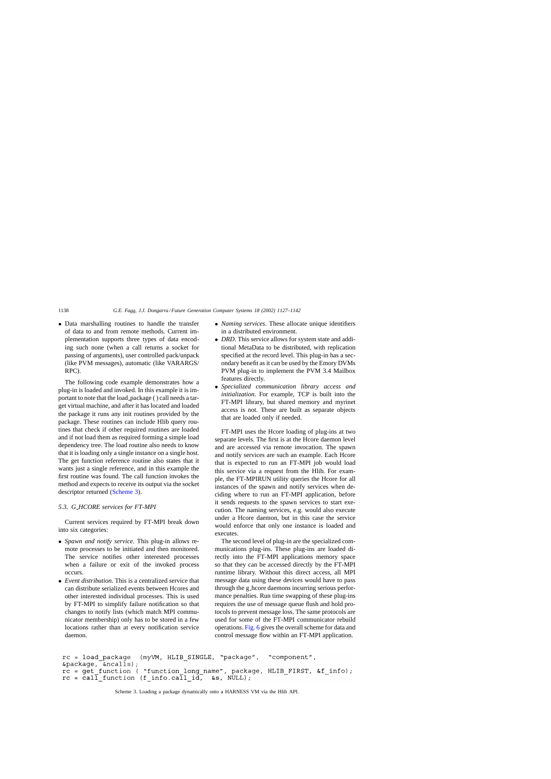1138 *G.E. Fagg, J.J. Dongarra / Future Generation Computer Systems 18 (2002) 1127–1142*

• Data marshalling routines to handle the transfer of data to and from remote methods. Current implementation supports three types of data encoding such none (when a call returns a socket for passing of arguments), user controlled pack/unpack (like PVM messages), automatic (like VARARGS/ RPC).

The following code example demonstrates how a plug-in is loaded and invoked. In this example it is important to note that the load package ( ) call needs a target virtual machine, and after it has located and loaded the package it runs any init routines provided by the package. These routines can include Hlib query routines that check if other required routines are loaded and if not load them as required forming a simple load dependency tree. The load routine also needs to know that it is loading only a single instance on a single host. The get function reference routine also states that it wants just a single reference, and in this example the first routine was found. The call function invokes the method and expects to receive its output via the socket descriptor returned (Scheme 3).

# *5.3. G HCORE services for FT-MPI*

Current services required by FT-MPI break down into six categories:

- *Spawn and notify service*. This plug-in allows remote processes to be initiated and then monitored. The service notifies other interested processes when a failure or exit of the invoked process occurs.
- *Event distribution*. This is a centralized service that can distribute serialized events between Hcores and other interested individual processes. This is used by FT-MPI to simplify failure notification so that changes to notify lists (which match MPI communicator membership) only has to be stored in a few locations rather than at every notification service daemon.
- *Naming services*. These allocate unique identifiers in a distributed environment.
- *DRD*. This service allows for system state and additional MetaData to be distributed, with replication specified at the record level. This plug-in has a secondary benefit as it can be used by the Emory DVMs PVM plug-in to implement the PVM 3.4 Mailbox features directly.
- *Specialized communication library access and initialization*. For example, TCP is built into the FT-MPI library, but shared memory and myrinet access is not. These are built as separate objects that are loaded only if needed.

FT-MPI uses the Hcore loading of plug-ins at two separate levels. The first is at the Hcore daemon level and are accessed via remote invocation. The spawn and notify services are such an example. Each Hcore that is expected to run an FT-MPI job would load this service via a request from the Hlib. For example, the FT-MPIRUN utility queries the Hcore for all instances of the spawn and notify services when deciding where to run an FT-MPI application, before it sends requests to the spawn services to start execution. The naming services, e.g. would also execute under a Hcore daemon, but in this case the service would enforce that only one instance is loaded and executes.

The second level of plug-in are the specialized communications plug-ins. These plug-ins are loaded directly into the FT-MPI applications memory space so that they can be accessed directly by the FT-MPI runtime library. Without this direct access, all MPI message data using these devices would have to pass through the g hcore daemons incurring serious performance penalties. Run time swapping of these plug-ins requires the use of message queue flush and hold protocols to prevent message loss. The same protocols are used for some of the FT-MPI communicator rebuild operations. [Fig. 6](#page-12-0) gives the overall scheme for data and control message flow within an FT-MPI application.

```
rc = load package(myVM, HLIB SINGLE, "package",
                                                   "component",
&package, &ncalls);
rc = get function ( "function long name", package, HLIB FIRST, &f info);
rc = call_function (finfo.caIl_id, & s, NULL);
```
Scheme 3. Loading a package dynamically onto a HARNESS VM via the Hlib API.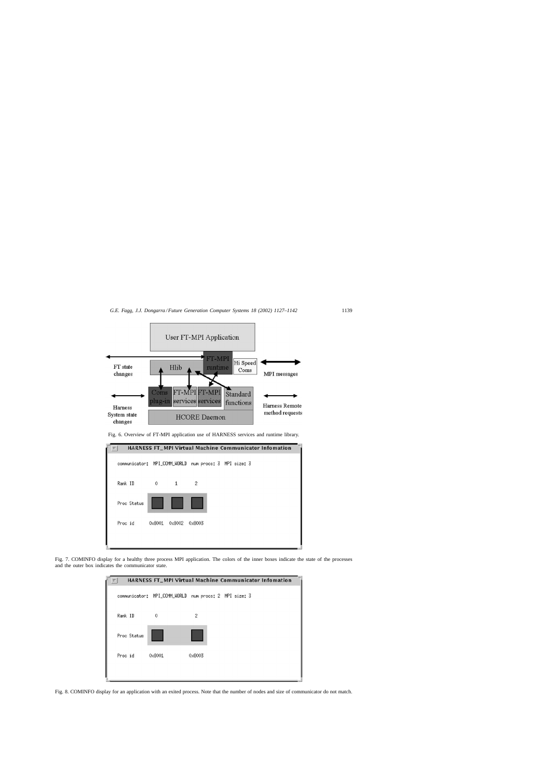<span id="page-12-0"></span>

Fig. 6. Overview of FT-MPI application use of HARNESS services and runtime library.



Fig. 7. COMINFO display for a healthy three process MPI application. The colors of the inner boxes indicate the state of the processes and the outer box indicates the communicator state.

|             |                                                       |        | HARNESS FT_MPI Virtual Machine Communicator Infomation |
|-------------|-------------------------------------------------------|--------|--------------------------------------------------------|
|             | communicator: MPI_COMM_WORLD num procs: 2 MPI size: 3 |        |                                                        |
| Rank ID     | 0                                                     | 2      |                                                        |
| Proc Status |                                                       |        |                                                        |
| Proc id     | 0x8001                                                | 0x8003 |                                                        |
|             |                                                       |        |                                                        |

Fig. 8. COMINFO display for an application with an exited process. Note that the number of nodes and size of communicator do not match.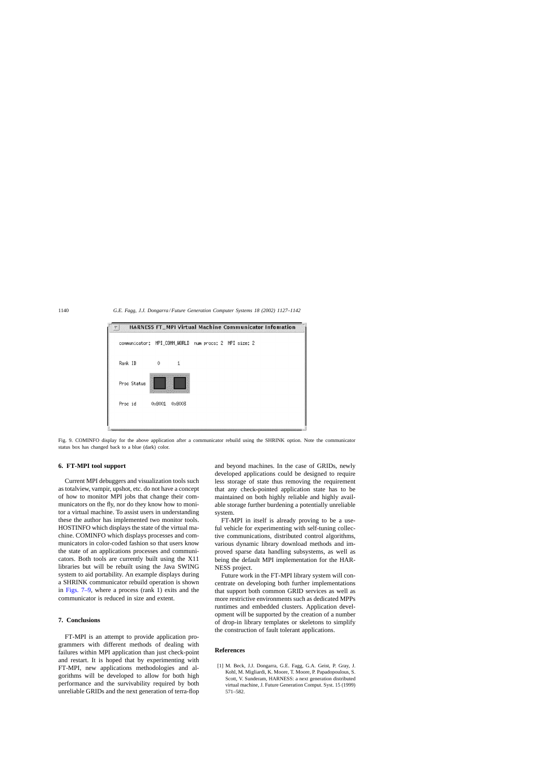<span id="page-13-0"></span>

Fig. 9. COMINFO display for the above application after a communicator rebuild using the SHRINK option. Note the communicator status box has changed back to a blue (dark) color.

#### **6. FT-MPI tool support**

Current MPI debuggers and visualization tools such as totalview, vampir, upshot, etc. do not have a concept of how to monitor MPI jobs that change their communicators on the fly, nor do they know how to monitor a virtual machine. To assist users in understanding these the author has implemented two monitor tools. HOSTINFO which displays the state of the virtual machine. COMINFO which displays processes and communicators in color-coded fashion so that users know the state of an applications processes and communicators. Both tools are currently built using the X11 libraries but will be rebuilt using the Java SWING system to aid portability. An example displays during a SHRINK communicator rebuild operation is shown in [Figs. 7–9,](#page-12-0) where a process (rank 1) exits and the communicator is reduced in size and extent.

## **7. Conclusions**

FT-MPI is an attempt to provide application programmers with different methods of dealing with failures within MPI application than just check-point and restart. It is hoped that by experimenting with FT-MPI, new applications methodologies and algorithms will be developed to allow for both high performance and the survivability required by both unreliable GRIDs and the next generation of terra-flop and beyond machines. In the case of GRIDs, newly developed applications could be designed to require less storage of state thus removing the requirement that any check-pointed application state has to be maintained on both highly reliable and highly available storage further burdening a potentially unreliable system.

FT-MPI in itself is already proving to be a useful vehicle for experimenting with self-tuning collective communications, distributed control algorithms, various dynamic library download methods and improved sparse data handling subsystems, as well as being the default MPI implementation for the HAR-NESS project.

Future work in the FT-MPI library system will concentrate on developing both further implementations that support both common GRID services as well as more restrictive environments such as dedicated MPPs runtimes and embedded clusters. Application development will be supported by the creation of a number of drop-in library templates or skeletons to simplify the construction of fault tolerant applications.

#### **References**

[1] M. Beck, J.J. Dongarra, G.E. Fagg, G.A. Geist, P. Gray, J. Kohl, M. Migliardi, K. Moore, T. Moore, P. Papadopoulous, S. Scott, V. Sunderam, HARNESS: a next generation distributed virtual machine, J. Future Generation Comput. Syst. 15 (1999) 571–582.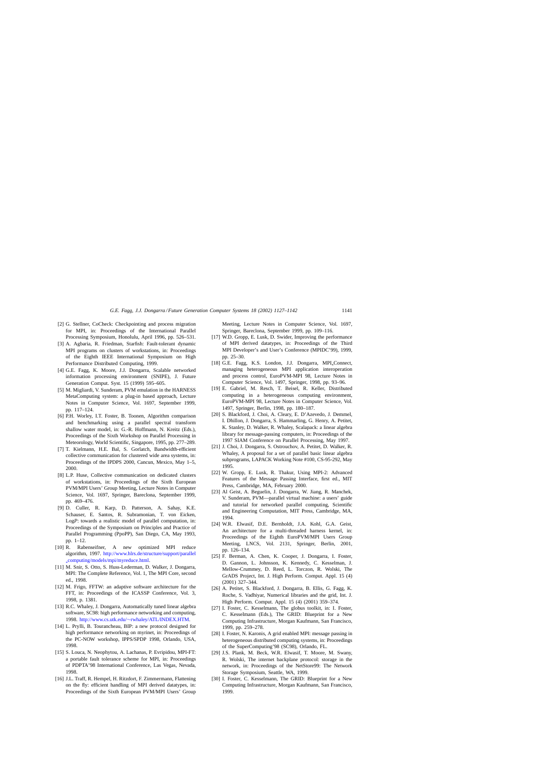- <span id="page-14-0"></span>[2] G. Stellner, CoCheck: Checkpointing and process migration for MPI, in: Proceedings of the International Parallel Processing Symposium, Honolulu, April 1996, pp. 526–531.
- [3] A. Agbaria, R. Friedman, Starfish: Fault-tolerant dynamic MPI programs on clusters of workstations, in: Proceedings of the Eighth IEEE International Symposium on High Performance Distributed Computing, 1999.
- [4] G.E. Fagg, K. Moore, J.J. Dongarra, Scalable networked information processing environment (SNIPE), J. Future Generation Comput. Syst. 15 (1999) 595–605.
- [5] M. Migliardi, V. Sunderam, PVM emulation in the HARNESS MetaComputing system: a plug-in based approach, Lecture Notes in Computer Science, Vol. 1697, September 1999, pp. 117–124.
- [6] P.H. Worley, I.T. Foster, B. Toonen, Algorithm comparison and benchmarking using a parallel spectral transform shallow water model, in: G.-R. Hoffmann, N. Kreitz (Eds.), Proceedings of the Sixth Workshop on Parallel Processing in Meteorology, World Scientific, Singapore, 1995, pp. 277–289.
- [7] T. Kielmann, H.E. Bal, S. Gorlatch, Bandwidth-efficient collective communication for clustered wide area systems, in: Proceedings of the IPDPS 2000, Cancun, Mexico, May 1–5, 2000.
- [8] L.P. Huse, Collective communication on dedicated clusters of workstations, in: Proceedings of the Sixth European PVM/MPI Users' Group Meeting, Lecture Notes in Computer Science, Vol. 1697, Springer, Bareclona, September 1999, pp. 469–476.
- [9] D. Culler, R. Karp, D. Patterson, A. Sahay, K.E. Schauser, E. Santos, R. Subramonian, T. von Eicken, LogP: towards a realistic model of parallel computation, in: Proceedings of the Symposium on Principles and Practice of Parallel Programming (PpoPP), San Diego, CA, May 1993, pp. 1–12.
- [10] R. Rabenseifner, A new optimized MPI reduce algorithm, 1997. [http://www.hlrs.de/structure/support/parallel](http://www.hlrs.de/structure/support/parallel_computing/models/mpi/myreduce.html) [computing/models/mpi/myreduce.html.](http://www.hlrs.de/structure/support/parallel_computing/models/mpi/myreduce.html)
- [11] M. Snir, S. Otto, S. Huss-Lederman, D. Walker, J. Dongarra, MPI: The Complete Reference, Vol. 1, The MPI Core, second ed., 1998.
- [12] M. Frigo, FFTW: an adaptive software architecture for the FFT, in: Proceedings of the ICASSP Conference, Vol. 3, 1998, p. 1381.
- [13] R.C. Whaley, J. Dongarra, Automatically tuned linear algebra software, SC98: high performance networking and computing, 1998. http://www.cs.utk.edu/∼[rwhaley/ATL/INDEX.HTM](http://www.cs.utk.edu/{protect $
elax ~$}rwhaley/ATL/INDEX.HTM).
- [14] L. Prylli, B. Tourancheau, BIP: a new protocol designed for high performance networking on myrinet, in: Proceedings of the PC-NOW workshop, IPPS/SPDP 1998, Orlando, USA, 1998.
- [15] S. Louca, N. Neophytou, A. Lachanas, P. Evripidou, MPI-FT: a portable fault tolerance scheme for MPI, in: Proceedings of PDPTA'98 International Conference, Las Vegas, Nevada, 1998.
- [16] J.L. Traff, R. Hempel, H. Ritzdort, F. Zimmermann, Flattening on the fly: efficient handling of MPI derived datatypes, in: Proceedings of the Sixth European PVM/MPI Users' Group

Meeting, Lecture Notes in Computer Science, Vol. 1697, Springer, Bareclona, September 1999, pp. 109–116.

- [17] W.D. Gropp, E. Lusk, D. Swider, Improving the performance of MPI derived datatypes, in: Proceedings of the Third MPI Developer's and User's Conference (MPIDC'99), 1999, pp. 25–30.
- [18] G.E. Fagg, K.S. London, J.J. Dongarra, MPI Connect, managing heterogeneous MPI application interoperation and process control, EuroPVM-MPI 98, Lecture Notes in Computer Science, Vol. 1497, Springer, 1998, pp. 93–96.
- [19] E. Gabriel, M. Resch, T. Beisel, R. Keller, Distributed computing in a heterogeneous computing environment, EuroPVM-MPI 98, Lecture Notes in Computer Science, Vol. 1497, Springer, Berlin, 1998, pp. 180–187.
- [20] S. Blackford, J. Choi, A. Cleary, E. D'Azevedo, J. Demmel, I. Dhillon, J. Dongarra, S. Hammarling, G. Henry, A. Petitet, K. Stanley, D. Walker, R. Whaley, Scalapack: a linear algebra library for message-passing computers, in: Proceedings of the 1997 SIAM Conference on Parallel Processing, May 1997.
- [21] J. Choi, J. Dongarra, S. Ostrouchov, A. Petitet, D. Walker, R. Whaley, A proposal for a set of parallel basic linear algebra subprograms, LAPACK Working Note #100, CS-95-292, May 1995.
- [22] W. Gropp, E. Lusk, R. Thakur, Using MPI-2: Advanced Features of the Message Passing Interface, first ed., MIT Press, Cambridge, MA, February 2000.
- [23] Al Geist, A. Beguelin, J. Dongarra, W. Jiang, R. Manchek, V. Sunderam, PVM—parallel virtual machine: a users' guide and tutorial for networked parallel computing, Scientific and Engineering Computation, MIT Press, Cambridge, MA, 1994.
- [24] W.R. Elwasif, D.E. Bernholdt, J.A. Kohl, G.A. Geist, An architecture for a multi-threaded harness kernel, in: Proceedings of the Eighth EuroPVM/MPI Users Group Meeting, LNCS, Vol. 2131, Springer, Berlin, 2001, pp. 126–134.
- [25] F. Berman, A. Chen, K. Cooper, J. Dongarra, I. Foster, D. Gannon, L. Johnsson, K. Kennedy, C. Kesselman, J. Mellow-Crummey, D. Reed, L. Torczon, R. Wolski, The GrADS Project, Int. J. High Perform. Comput. Appl. 15 (4) (2001) 327–344.
- [26] A. Petitet, S. Blackford, J. Dongarra, B. Ellis, G. Fagg, K. Roche, S. Vadhiyar, Numerical libraries and the grid, Int. J. High Perform. Comput. Appl. 15 (4) (2001) 359–374.
- [27] I. Foster, C. Kesselmann, The globus toolkit, in: I. Foster, C. Kesselmann (Eds.), The GRID: Blueprint for a New Computing Infrastructure, Morgan Kaufmann, San Francisco, 1999, pp. 259–278.
- [28] I. Foster, N. Karonis, A grid enabled MPI: message passing in heterogeneous distributed computing systems, in: Proceedings of the SuperComputing'98 (SC98), Orlando, FL.
- [29] J.S. Plank, M. Beck, W.R. Elwasif, T. Moore, M. Swany, R. Wolski, The internet backplane protocol: storage in the network, in: Proceedings of the NetStore99: The Network Storage Symposium, Seattle, WA, 1999.
- [30] I. Foster, C. Kesselmann, The GRID: Blueprint for a New Computing Infrastructure, Morgan Kaufmann, San Francisco, 1999.